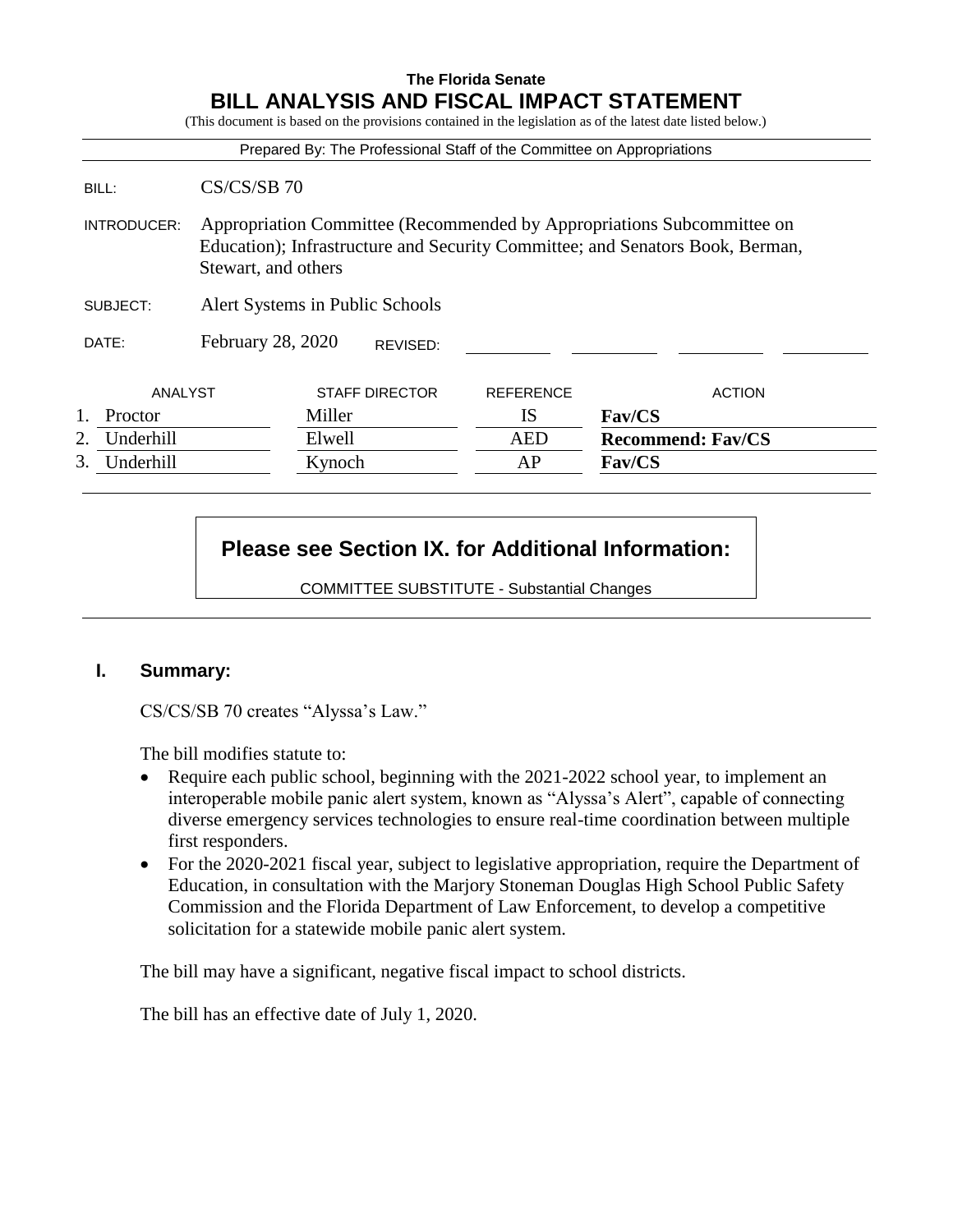# **The Florida Senate BILL ANALYSIS AND FISCAL IMPACT STATEMENT**

(This document is based on the provisions contained in the legislation as of the latest date listed below.) Prepared By: The Professional Staff of the Committee on Appropriations BILL: CS/CS/SB 70 INTRODUCER: Appropriation Committee (Recommended by Appropriations Subcommittee on Education); Infrastructure and Security Committee; and Senators Book, Berman, Stewart, and others SUBJECT: Alert Systems in Public Schools DATE: February 28, 2020 ANALYST STAFF DIRECTOR REFERENCE ACTION 1. Proctor **Miller IS** Fav/CS 2. Underhill Elwell AED **Recommend: Fav/CS** 3. Underhill Kynoch AP **Fav/CS** REVISED:

# **Please see Section IX. for Additional Information:**

COMMITTEE SUBSTITUTE - Substantial Changes

# **I. Summary:**

CS/CS/SB 70 creates "Alyssa's Law."

The bill modifies statute to:

- Require each public school, beginning with the 2021-2022 school year, to implement an interoperable mobile panic alert system, known as "Alyssa's Alert", capable of connecting diverse emergency services technologies to ensure real-time coordination between multiple first responders.
- For the 2020-2021 fiscal year, subject to legislative appropriation, require the Department of Education, in consultation with the Marjory Stoneman Douglas High School Public Safety Commission and the Florida Department of Law Enforcement, to develop a competitive solicitation for a statewide mobile panic alert system.

The bill may have a significant, negative fiscal impact to school districts.

The bill has an effective date of July 1, 2020.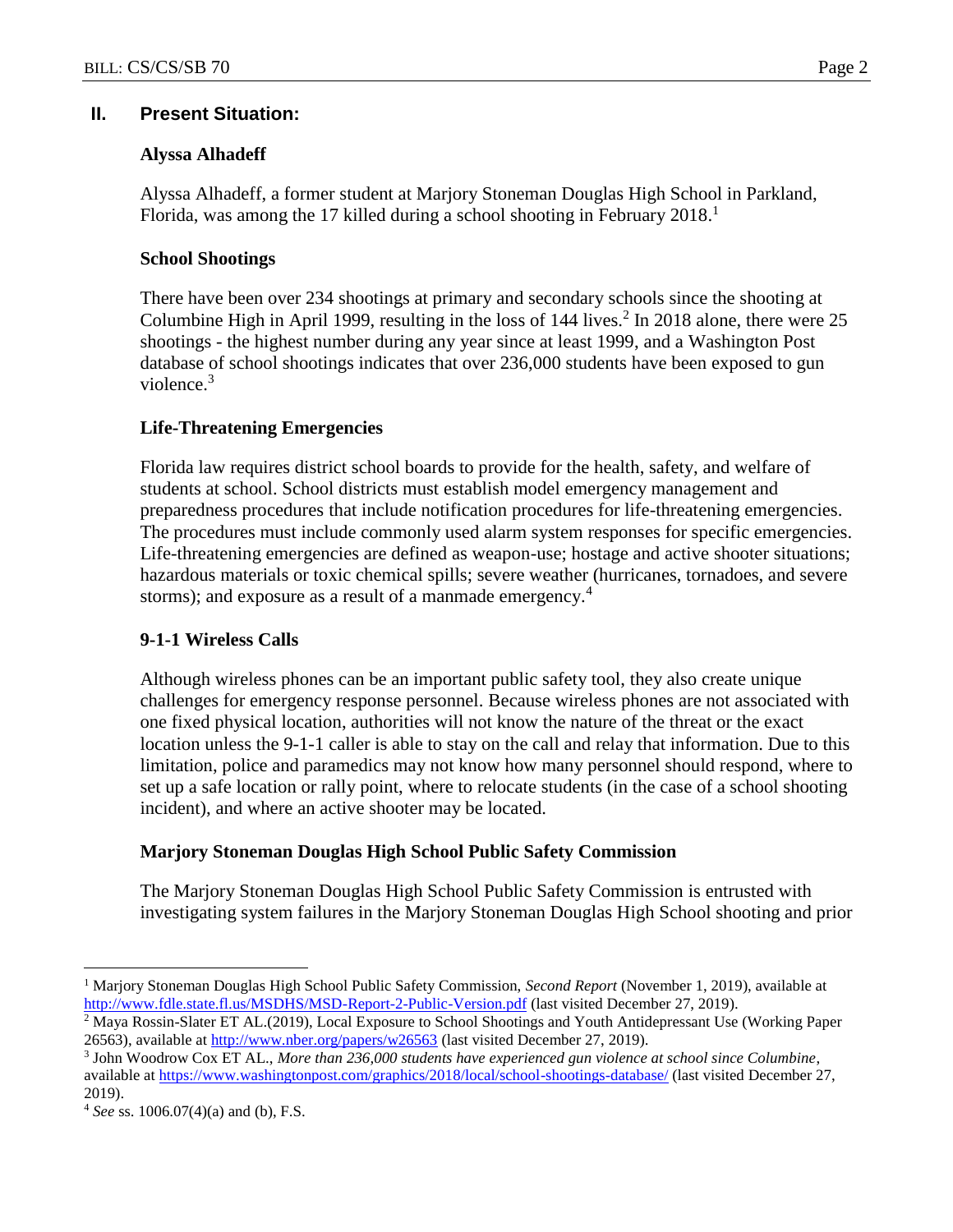## **II. Present Situation:**

### **Alyssa Alhadeff**

Alyssa Alhadeff, a former student at Marjory Stoneman Douglas High School in Parkland, Florida, was among the 17 killed during a school shooting in February 2018.<sup>1</sup>

### **School Shootings**

There have been over 234 shootings at primary and secondary schools since the shooting at Columbine High in April 1999, resulting in the loss of  $144$  lives.<sup>2</sup> In 2018 alone, there were 25 shootings - the highest number during any year since at least 1999, and a Washington Post database of school shootings indicates that over 236,000 students have been exposed to gun violence.<sup>3</sup>

### **Life-Threatening Emergencies**

Florida law requires district school boards to provide for the health, safety, and welfare of students at school. School districts must establish model emergency management and preparedness procedures that include notification procedures for life-threatening emergencies. The procedures must include commonly used alarm system responses for specific emergencies. Life-threatening emergencies are defined as weapon-use; hostage and active shooter situations; hazardous materials or toxic chemical spills; severe weather (hurricanes, tornadoes, and severe storms); and exposure as a result of a manmade emergency.<sup>4</sup>

### **9-1-1 Wireless Calls**

Although wireless phones can be an important public safety tool, they also create unique challenges for emergency response personnel. Because wireless phones are not associated with one fixed physical location, authorities will not know the nature of the threat or the exact location unless the 9-1-1 caller is able to stay on the call and relay that information. Due to this limitation, police and paramedics may not know how many personnel should respond, where to set up a safe location or rally point, where to relocate students (in the case of a school shooting incident), and where an active shooter may be located.

# **Marjory Stoneman Douglas High School Public Safety Commission**

The Marjory Stoneman Douglas High School Public Safety Commission is entrusted with investigating system failures in the Marjory Stoneman Douglas High School shooting and prior

 $\overline{a}$ 

<sup>1</sup> Marjory Stoneman Douglas High School Public Safety Commission, *Second Report* (November 1, 2019), available at <http://www.fdle.state.fl.us/MSDHS/MSD-Report-2-Public-Version.pdf> (last visited December 27, 2019).

<sup>&</sup>lt;sup>2</sup> Maya Rossin-Slater ET AL.(2019), Local Exposure to School Shootings and Youth Antidepressant Use (Working Paper 26563), available a[t http://www.nber.org/papers/w26563](http://www.nber.org/papers/w26563) (last visited December 27, 2019).

<sup>3</sup> John Woodrow Cox ET AL., *More than 236,000 students have experienced gun violence at school since Columbine*, available at<https://www.washingtonpost.com/graphics/2018/local/school-shootings-database/> (last visited December 27, 2019).

<sup>4</sup> *See* ss. 1006.07(4)(a) and (b), F.S.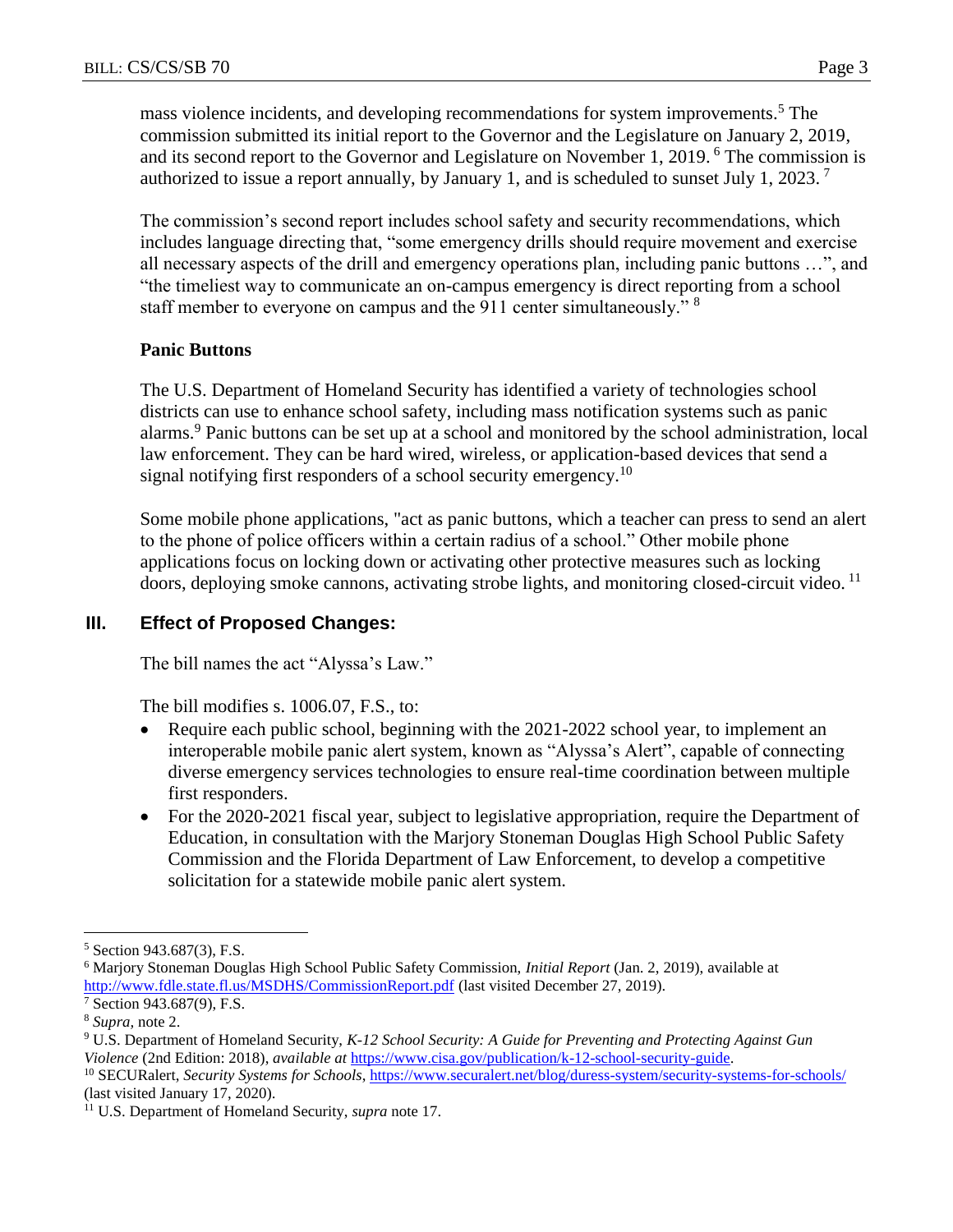mass violence incidents, and developing recommendations for system improvements.<sup>5</sup> The commission submitted its initial report to the Governor and the Legislature on January 2, 2019, and its second report to the Governor and Legislature on November 1, 2019. <sup>6</sup> The commission is authorized to issue a report annually, by January 1, and is scheduled to sunset July 1, 2023.<sup>7</sup>

The commission's second report includes school safety and security recommendations, which includes language directing that, "some emergency drills should require movement and exercise all necessary aspects of the drill and emergency operations plan, including panic buttons …", and "the timeliest way to communicate an on-campus emergency is direct reporting from a school staff member to everyone on campus and the 911 center simultaneously." <sup>8</sup>

# **Panic Buttons**

The U.S. Department of Homeland Security has identified a variety of technologies school districts can use to enhance school safety, including mass notification systems such as panic alarms.<sup>9</sup> Panic buttons can be set up at a school and monitored by the school administration, local law enforcement. They can be hard wired, wireless, or application-based devices that send a signal notifying first responders of a school security emergency.<sup>10</sup>

Some mobile phone applications, "act as panic buttons, which a teacher can press to send an alert to the phone of police officers within a certain radius of a school." Other mobile phone applications focus on locking down or activating other protective measures such as locking doors, deploying smoke cannons, activating strobe lights, and monitoring closed-circuit video. 11

# **III. Effect of Proposed Changes:**

The bill names the act "Alyssa's Law."

The bill modifies s. 1006.07, F.S., to:

- Require each public school, beginning with the 2021-2022 school year, to implement an interoperable mobile panic alert system, known as "Alyssa's Alert", capable of connecting diverse emergency services technologies to ensure real-time coordination between multiple first responders.
- For the 2020-2021 fiscal year, subject to legislative appropriation, require the Department of Education, in consultation with the Marjory Stoneman Douglas High School Public Safety Commission and the Florida Department of Law Enforcement, to develop a competitive solicitation for a statewide mobile panic alert system.

 $\overline{a}$ <sup>5</sup> Section 943.687(3), F.S.

<sup>6</sup> Marjory Stoneman Douglas High School Public Safety Commission, *Initial Report* (Jan. 2, 2019), available at <http://www.fdle.state.fl.us/MSDHS/CommissionReport.pdf> (last visited December 27, 2019).

<sup>7</sup> Section 943.687(9), F.S.

<sup>8</sup> *Supra,* note 2.

<sup>9</sup> U.S. Department of Homeland Security, *K-12 School Security: A Guide for Preventing and Protecting Against Gun Violence* (2nd Edition: 2018), *available at* [https://www.cisa.gov/publication/k-12-school-security-guide.](https://www.cisa.gov/publication/k-12-school-security-guide)

<sup>10</sup> SECURalert, *Security Systems for Schools*[, https://www.securalert.net/blog/duress-system/security-systems-for-schools/](https://www.securalert.net/blog/duress-system/security-systems-for-schools/) (last visited January 17, 2020).

<sup>11</sup> U.S. Department of Homeland Security, *supra* note 17.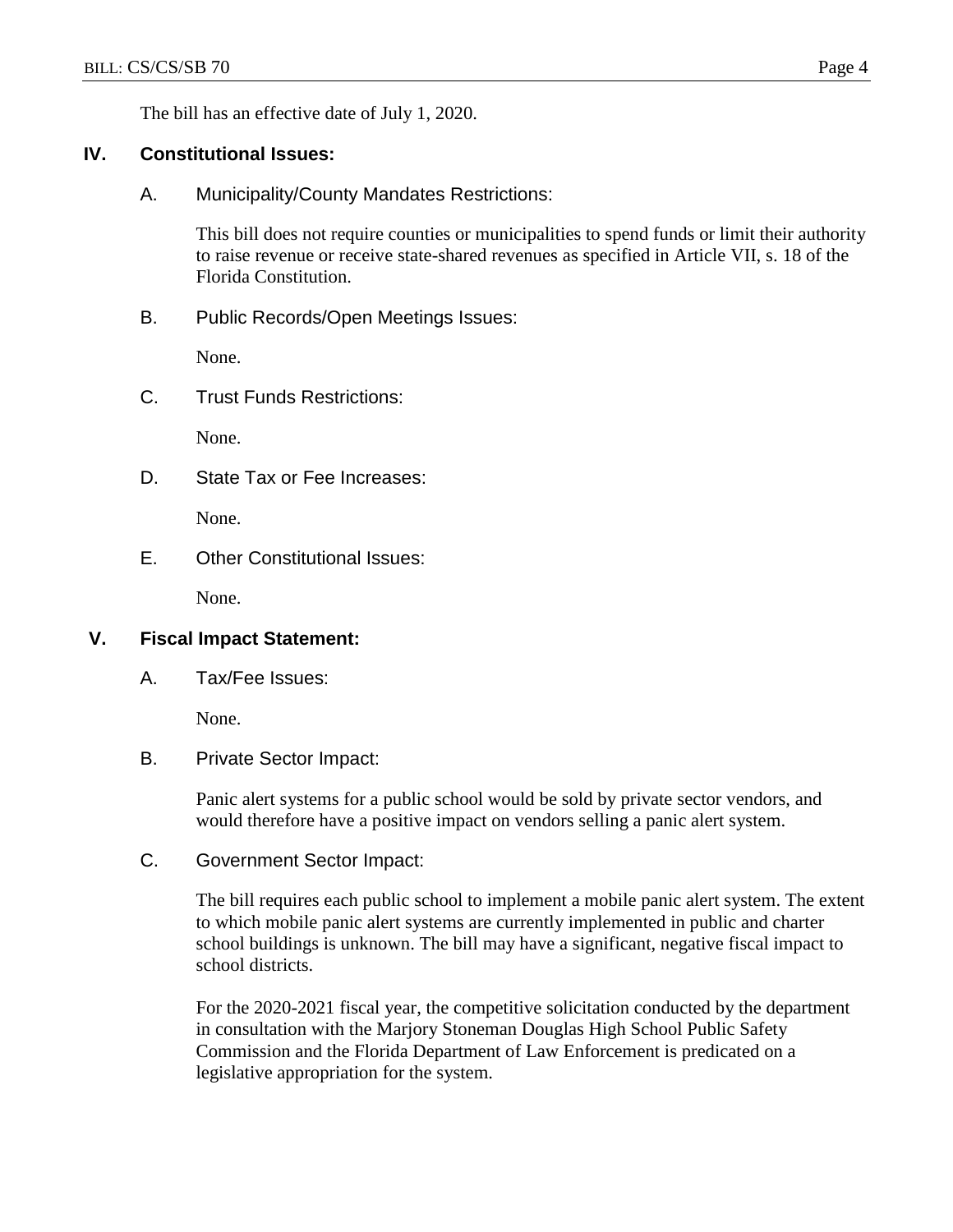The bill has an effective date of July 1, 2020.

## **IV. Constitutional Issues:**

A. Municipality/County Mandates Restrictions:

This bill does not require counties or municipalities to spend funds or limit their authority to raise revenue or receive state-shared revenues as specified in Article VII, s. 18 of the Florida Constitution.

B. Public Records/Open Meetings Issues:

None.

C. Trust Funds Restrictions:

None.

D. State Tax or Fee Increases:

None.

E. Other Constitutional Issues:

None.

### **V. Fiscal Impact Statement:**

A. Tax/Fee Issues:

None.

B. Private Sector Impact:

Panic alert systems for a public school would be sold by private sector vendors, and would therefore have a positive impact on vendors selling a panic alert system.

C. Government Sector Impact:

The bill requires each public school to implement a mobile panic alert system. The extent to which mobile panic alert systems are currently implemented in public and charter school buildings is unknown. The bill may have a significant, negative fiscal impact to school districts.

For the 2020-2021 fiscal year, the competitive solicitation conducted by the department in consultation with the Marjory Stoneman Douglas High School Public Safety Commission and the Florida Department of Law Enforcement is predicated on a legislative appropriation for the system.